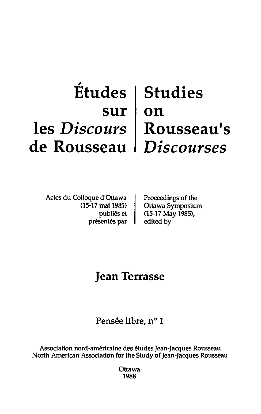## , **Etudes sur les** *Discours*  **de Rousseau Studies on Rousseau's**  *Discourses*

Actcs du Colloque d'Ottawa (15-17 mai 1985) publics ct présentés par Proceedings of the Ottawa Symposium (15-17 May 1985), edited by

## **Jean Terrasse**

Pensée libre, n° 1

Association nord-américaine des études Jean-Jacques Rousseau North American Association for the Study of Jean-Jacques Rousseau

> **Ottawa** 1988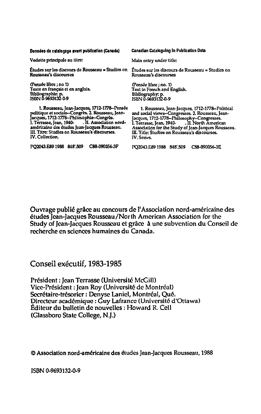## Données de catalogage avant publication (Canada)

Vedette prindpale au litre:

(Pensée libre ; no 1) Texte en français et en anglais. Bibliographie: p. ISBN 0-9693132-0-9

1. Rousseau, Jean-Jacques, 1712-1778--Pensée<br>- politique et sociale--Congrès. 2. Rousseau, Jean-Jacques, 1712-1778-Philosophie-Congrès.<br>1. Terrasse, Jean, 1940- . II. Association nord-J. Terrasse, Jean, 1940américaine des études Jean-Jacques Rousseau. 11J. Titre: Studies on Rousseau's discourses. IV. Collection.

PQ2043.E89 1988 848'.509 C88-090056-3F

Canadian Cataloguing In Publication Data

Main entry under tille:

Études sur les discours de Rousseau = Studies on ...Études sur les discours de Rousseau = Studies on<br>Rousseau's discourses Rousseau's discourses Rousseau's discourses

> (Pensée libre ; no. 1) Text in French and English. Bibliography: p.<br>ISBN 0-9693132-0-9

I. Rousseau, Jean-Jacques, 1712-177~Polilical and sodal views-Congresses. 2. Rousseau, Jean-jacques, 1712-1718-Philosophy-Congresses. I. Terrasse, jllan, 1940- • il. North American Association for the Study or Jean-jacques Rousseau. Ill. Title: Studies on Rousseau's discourses. IV. Series.

PQ204J.E891988 848'.509 C88-090Q56-3E

Ouvrage publié grâce au concours de l'Association nord-américaine des etudes Jean-Jacques Rousseau/North American Association for the Study of Jean-Jacques Rousseau et grace a une subvention du Conseil de recherche en sciences humaines du Canada,

Conseil exécutif, 1983-1985

Président: Jean Terrasse (Université McGill) Vice-Président: Jean Roy (Université de Montréal) Secrétaire-trésorier : Denyse Laniel, Montréal, Qué. Directeur académique : Guy Lafrance (Université d'Ottawa) Editeur du bulletin de nouvelles: Howard R. Cell (Glassboro State College, N,J,)

© Association nord-américaine des études Jean-Jacques Rousseau, 1988

ISBN 0-9693132-0-9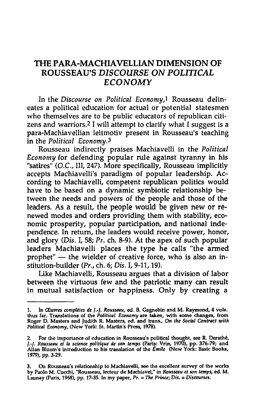## THE PARA-MACHIAVELLIAN DIMENSION OF ROUSSEAU'S *DISCOURSE* ON *POLmCAL ECONOMY*

In the *Discourse on Political Economy,!* Rousseau delineates a political education for actual or potential statesmen who themselves are to be public educators of republican citizens and warriors.2 I will attempt to clarify what I suggest is a para-Machiavellian leitmotiv present in Rousseau's teaching in the *Political Economy.3* 

Rousseau indirectly praises Machiavelli in the *Political Economy* for defending popular rule against tyranny in his "satires" (D.C., III, 247). More specifically, Rousseau implicitly accepts Machiavelli's paradigm of popular leadership. According to Machiavelli, competent republican politics would have to be based on a dynamic symbiotic relationship between the needs and powers of the people and those of the leaders. As a result, the people would be given new or renewed modes and orders providing them with stability, economic prosperity, popular participation, and national independence. In return, the leaders would receive power, honor, and glory *(Dis. I, 58; Pr. ch. 8-9).* At the apex of such popular leaders Machiavelli places the type he calls "the armed prophet"  $-$  the wielder of creative force, who is also an institution-builder (Pr., ch. 6; Dis. I, 9-11, 19).

Like Machiavelli, Rousseau argues that a division of labor between the virtuous few and the patriotic many can result in mutual satisfaction or happiness. Only by creating a

<sup>1.</sup> In *CEupres compWes de* 1.-J. *Rousseau,* ed. B. Cagnebin and M. Raymond, 4 vols. thus far. Translations of the *Political Economy* are taken, with some changes, from Roger D. Masters and Judith R. Masters, ed. and trans., On *the Social Contract with Political Economy,* (New York: Sl. Marlin's Press, 1978).

For the importance of education in Rousseau's political thought, see R. Derathé, 1.-/. *Rousseau et la science politique de son temps* (Paris: Vrin, 1970), pp. 376-79; and Allan Bloom's introduction to his translation of the *Emile* (New York: Basic Books, 1979), pp. 3-29.

<sup>3.</sup> On Rousseau's relationship to Machiavelli, see the excellent survey of the works by Paolo M. Cucchi, "Rousseau, Iccteur de Machiavel," in *Rousseau et son temps,* ed. M. Launay (Paris, 1968), pp. 17-35. In my paper, *Pr.* = *The Prince;* Dis. = *Discourses.*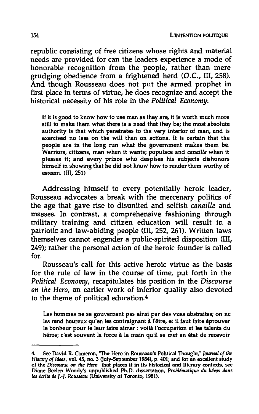republic consisting of free citizens whose rights and material needs are provided for can the leaders experience a mode of honorable recognition from the people, rather than mere grudging obedience from a frightened herd (D.C., ill, 258). And though Rousseau does not put the armed prophet in first place in terms of virtue, he does recognize and accept the historical necessity of his role in the *Political Economy:* 

If it is good to know how to use men as they are, it is worth much more still to make them what there is a need that they be; the most absolute authority is that which penetrates to the very interior of man, and is exercised no less on the will than on actions. It is certain that the people are in the long run what the government makes them be. Warriors, citizens, men when it wants; populace and *canaille* when it pleases it; and every prince who despises his subjects dishonors himself in showing that he did not know how to render them worthy of esteem. (III, 251)

Addressing himself to every potentially heroic leader, Rousseau advocates a break with the mercenary politics of the age that gave rise to disunited and selfish *canaille* and masses. In contrast, a comprehensive fashioning through military training and citizen education will result in a patriotic and law-abiding people (III, 252, 261). Written laws themselves cannot engender a public-spirited disposition (III, 249); rather the personal action of the heroic founder is called for.

Rousseau's call for this active heroic virtue as the basis for the rule of law in the course of time, put forth in the *Political Economy,* recapitulates his position in the *Discourse on the Hero,* an earlier work of inferior quality also devoted to the theme of political education.4

Les hommes ne se gouvement pas ainsi par des vues abstraites; on ne les rend heureux qu'en les contraignant à l'être, et il faut faire éprouver Ie bonheur pour Ie leur faire aimer : voila l'occupation et les talents du héros; c'est souvent la force à la main qu'il se met en état de recevoir

<sup>4.</sup> See David R. Cameron, 'The Hero in Rousseau's Political Thought," *Jounud of the*  History of Ideas, vol. 45, no. 3 (July-September 1984), p. 401; and for an excellent study of the *Discourse* on *the Hero* that places it in its historical and literary contexts, see Diane Beelen Woody's unpublished Ph.D. dissertation, Problématique du héros dans les écrits de *J.-J. Rousseau* (University of Toronto, 1981).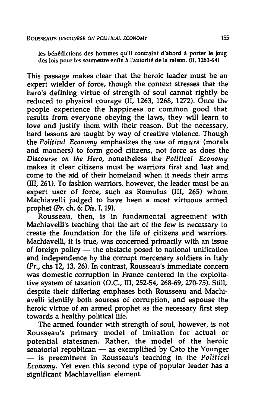les bénédictions des hommes qu'il contraint d'abord à porter le joug des lois pour les soumettre enfin a I'autorite de la raison. (Il, 1263-64)

This passage makes clear that the heroic leader must be an expert wielder of force, though the context stresses that the hero's defining virtue of strength of soul cannot rightly be reduced to physical courage (II, 1263, 1268, 1272). Once the people experience the happiness or common good that results from everyone obeying the laws, they will learn to love and justify them with their reason. But the necessary, hard lessons are taught by way of creative violence. Though the *Political Economy* emphasizes the use of *mreurs* (morals and manners) to form good citizens, not force as does the *Discourse on the Hero,* nonetheless the *Political Economy*  makes it clear citizens must be warriors first and last and come to the aid of their homeland when it needs their arms (III, 261). To fashion warriors, however, the leader must be an expert user of force, such as Romulus (III, 265) whom Machiavelli judged to have been a most virtuous armed prophet *(Pr.* ch. 6; *Dis.* I, 19).

Rousseau, then, is in fundamental agreement with Machiavelli's teaching that the art of the few is necessary to create the foundation for the life of citizens and warriors. Machiavelli, it is true, was concerned primarily with an issue of foreign policy  $-$  the obstacle posed to national unification and independence by the corrupt mercenary soldiers in Italy (Pr., chs 12, 13, 26). In contrast, Rousseau's immediate concern was domestic corruption in France centered in the exploitative system of taxation (O.C., III, 252-54, 268-69, 270-75). Still, despite their differing emphases both Rousseau and Machiavelli identify both sources of corruption, and espouse the heroic virtue of an armed prophet as the necessary first step towards a healthy political life.

The armed founder with strength of soul, however, is not Rousseau's primary model of imitation for actual or potential statesmen. Rather, the model of the heroic senatorial republican  $-$  as exemplified by Cato the Younger - is preeminent in Rousseau's teaching in the *Political Economy.* Yet even this second type of popular leader has a significant Machiavellian element.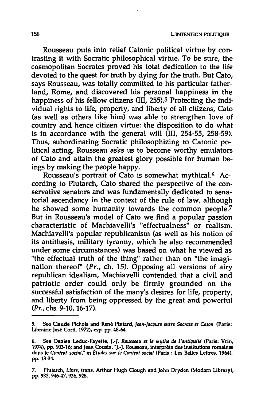Rousseau puts into relief Catonic political virtue by contrasting it with Socratic philosophical virtue. To be sure, the cosmopolitan Socrates proved his total dedication to the life devoted to the quest for truth by dying for the truth. But Cato, says Rousseau, was totally committed to his particular fatherland, Rome, and discovered his personal happiness in the happiness of his fellow citizens (III, 255).<sup>5</sup> Protecting the individual rights to life, property, and liberty of all citizens, Cato (as well as others like him) was able to strengthen love of country and hence citizen virtue: the disposition to do what is in accordance with the general will (III, 254-55, 258-59). Thus, subordinating Socratic philosophizing to Catonic political acting, Rousseau asks us to become worthy emulators of Cato and attain the greatest glory possible for human beings by making the people happy.

Rousseau's portrait of Cato is somewhat mythica1.6 According to Plutarch, Cato shared the perspective of the conservative senators and was fundamentally dedicated to senatorial ascendancy in the context of the rule of law, although he showed some humanity towards the common people.7 But in Rousseau's model of Cato we find a popular passion characteristic of Machiavelli's "effectualness" or realism. Machiavelli's popular republicanism (as well as his notion of its antithesis, military tyranny, which he also recommended under some circumstances) was based on what he viewed as "the effectual truth of the thing" rather than on "the imagination thereof" (Pr., ch. 15). Opposing all versions of airy republican idealism, Machiavelli contended that a civil and patriotic order could only be firmly grounded on the successful satisfaction of the many's desires for life, property, and liberty from being oppressed by the great and powerful (Pr., chs. 9-10, 16-17).

<sup>5.</sup> Sec Oaude Pichois and Rene Pintard, *Jean-Jacques entre Socrate* et *Caton* (Paris: Librairie José Corti, 1972), esp. pp. 48-64.

<sup>6.</sup> See Denise Leduc-Fayette, /.-/. *Rollsse4U et Ie* my *the* de *l'antiquiU* (Paris: Vrin, 1974), pp. 103-16; and Jean Cousin, "J.-J. Rousseau, interprete des institutions romaines dans Ie *Contrat social,"* in *Etudes sur Ie Contrat social* (Paris: Les Belles Lettres, 1964), pp.l3-34.

<sup>7.</sup> Plutarch, Lives, trans. Arthur Hugh Clough and John Dryden (Modern Library), pp. 933, 94647, 936, 928.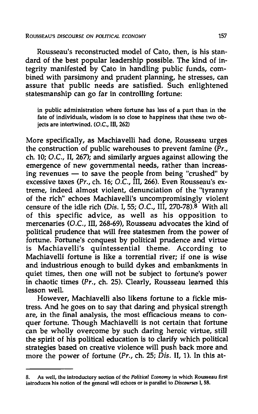Rousseau's reconstructed model of Cato, then, is his standard of the best popular leadership possible. The kind of integrity manifested by Cato in handling public funds, combined with parsimony and prudent planning, he stresses, can assure that public needs are satisfied. Such enlightened statesmanship can go far in controlling fortune:

in public administration where fortune has less of a part than in the fate of individuals, wisdom is so close to happiness that these two objects are intertwined. (O.c., III, 262)

More specifically, as Machiavelli had done, Rousseau urges the construction of public warehouses to prevent famine ( $\overline{Pr}$ . ch. 10; D.C., II, 267); and similarly argues against allowing the emergence of new governmental needs, rather than increasing revenues  $-$  to save the people from being "crushed" by excessive taxes (Pr., ch. 16; *a.c.,* ill, 266). Even Rousseau's extreme, indeed almost violent, denunciation of the "tyranny of the rich" echoes Machiavelli's uncompromisingly violent censure of the idle rich (Dis. I, 55; O.C., III, 270-78). $8$  With all of this specific advice, as well as his opposition to mercenaries (D.C., III, 268-69), Rousseau advocates the kind of political prudence that will free statesmen from the power of fortune. Fortune's conquest by political prudence and virtue is Machiavelli's quintessential theme. According to Machiavelli fortune is like a torrential river; if one is wise and industrious enough to build dykes and embankments in quiet times, then one will not be subject to fortune's power in chaotic times (Pr., ch. 25). Clearly, Rousseau learned this lesson well.

However, Machiavelli also likens fortune to a fickle mistress. And he goes on to say that daring and physical strength are, in the final analysis, the most efficacious means to conquer fortune. Though Machiavelli is not certain that fortune can be wholly overcome by such daring heroic virtue, still the spirit of his political education is to clarify which political strategies based on creative violence will push back more and more the power of fortune (Pr., ch. 25;  $\overrightarrow{Dis}$ . II, 1). In this at-

<sup>8.</sup> As well, the Introductory section of the *Political Economy* in which Rousseau first introduces his notion of the general will echoes or is parallel to *Discourses* I, 58.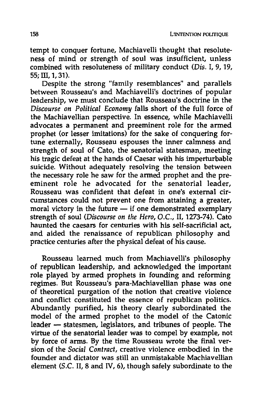tempt to conquer fortune, Machiavelli thought that resoluteness of mind or strength of soul was insufficient, unless combined with resoluteness of military conduct *(Dis.* 1,9, 19,  $55:$  III, 1, 31).

Despite the strong "family resemblances" and parallels between Rousseau's and Machiavelli's doctrines of popular leadership, we must conclude that Rousseau's doctrine in the *Discourse on Political Economy* falls short of the full force of the Machiavellian perspective. In essence, while Machiavelli advocates a permanent and preeminent role for the armed prophet (or lesser imitations) for the sake of conquering fortune externally, Rousseau espouses the inner calmness and strength of soul of Cato, the senatorial statesman, meeting his tragic defeat at the hands of Caesar with his imperturbable suicide. Without adequately resolving the tension between the necessary role he saw for the armed prophet and the preeminent role he advocated for the senatorial leader, Rousseau was confident that defeat in one's external circumstances could not prevent one from attaining a greater, moral victory in the future  $-$  if one demonstrated exemplary strength of soul *(Discourse on the Hero, D.C.,* II, 1273-74). Cato haunted the caesars for centuries with his self-sacrificial act, and aided the renaissance of republican philosophy and practice centuries after the physical defeat of his cause.

Rousseau learned much from Machiavelli's philosophy of republican leadership, and acknowledged the important role played by armed prophets in founding and reforming regimes. But Rousseau's para-Machiavellian phase was one of theoretical purgation of the notion that creative violence and conflict constituted the essence of republican politics. Abundantly purified, his theory clearly subordinated the model of the armed prophet to the model of the Catonic leader - statesmen, legislators, and tribunes of people. The virtue of the senatorial leader was to compel by example, not by force of arms. By the time Rousseau wrote the final version of the *Social Contract,* creative violence embodied in the founder and dictator was still an unmistakable Machiavellian element (S.C. II, 8 and IV, 6), though safely subordinate to the